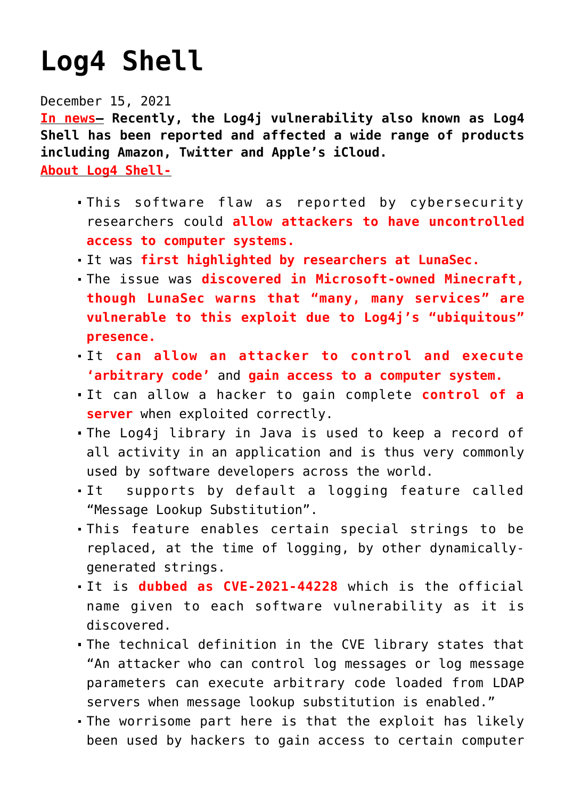## **[Log4 Shell](https://journalsofindia.com/log4-shell/)**

December 15, 2021

**In news– Recently, the Log4j vulnerability also known as Log4 Shell has been reported and affected a wide range of products including Amazon, Twitter and Apple's iCloud.**

**About Log4 Shell-**

- This software flaw as reported by cybersecurity researchers could **allow attackers to have uncontrolled access to computer systems.**
- It was **first highlighted by researchers at LunaSec.**
- The issue was **discovered in Microsoft-owned Minecraft, though LunaSec warns that "many, many services" are vulnerable to this exploit due to Log4j's "ubiquitous" presence.**
- It **can allow an attacker to control and execute 'arbitrary code'** and **gain access to a computer system.**
- It can allow a hacker to gain complete **control of a server** when exploited correctly.
- The Log4j library in Java is used to keep a record of all activity in an application and is thus very commonly used by software developers across the world.
- It supports by default a logging feature called "Message Lookup Substitution".
- This feature enables certain special strings to be replaced, at the time of logging, by other dynamicallygenerated strings.
- It is **dubbed as CVE-2021-44228** which is the official name given to each software vulnerability as it is discovered.
- The technical definition in the CVE library states that "An attacker who can control log messages or log message parameters can execute arbitrary code loaded from LDAP servers when message lookup substitution is enabled."
- The worrisome part here is that the exploit has likely been used by hackers to gain access to certain computer